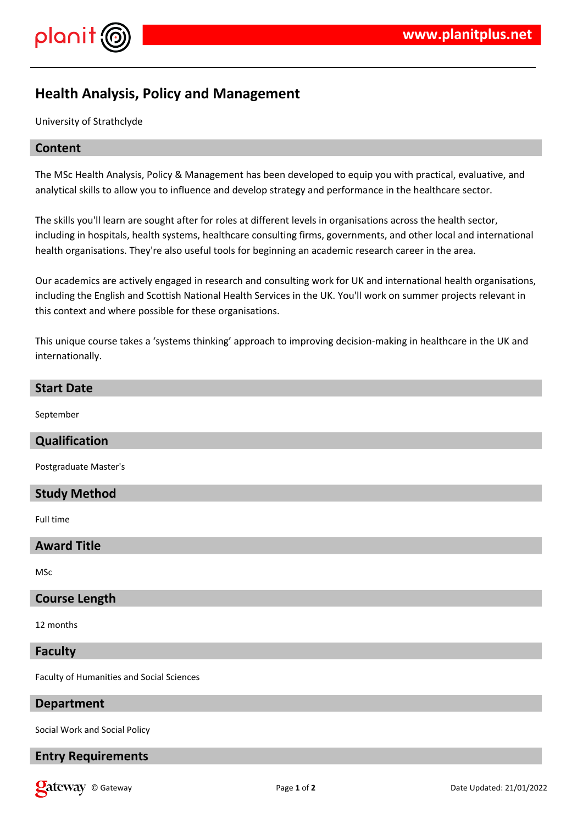

# **Health Analysis, Policy and Management**

University of Strathclyde

## **Content**

The MSc Health Analysis, Policy & Management has been developed to equip you with practical, evaluative, and analytical skills to allow you to influence and develop strategy and performance in the healthcare sector.

The skills you'll learn are sought after for roles at different levels in organisations across the health sector, including in hospitals, health systems, healthcare consulting firms, governments, and other local and international health organisations. They're also useful tools for beginning an academic research career in the area.

Our academics are actively engaged in research and consulting work for UK and international health organisations, including the English and Scottish National Health Services in the UK. You'll work on summer projects relevant in this context and where possible for these organisations.

This unique course takes a 'systems thinking' approach to improving decision-making in healthcare in the UK and internationally.

## **Start Date**

September

#### **Qualification**

Postgraduate Master's

## **Study Method**

Full time

#### **Award Title**

MSc

#### **Course Length**

12 months

#### **Faculty**

Faculty of Humanities and Social Sciences

#### **Department**

Social Work and Social Policy

# **Entry Requirements**

© Gateway Page **1** of **2** Date Updated: 21/01/2022